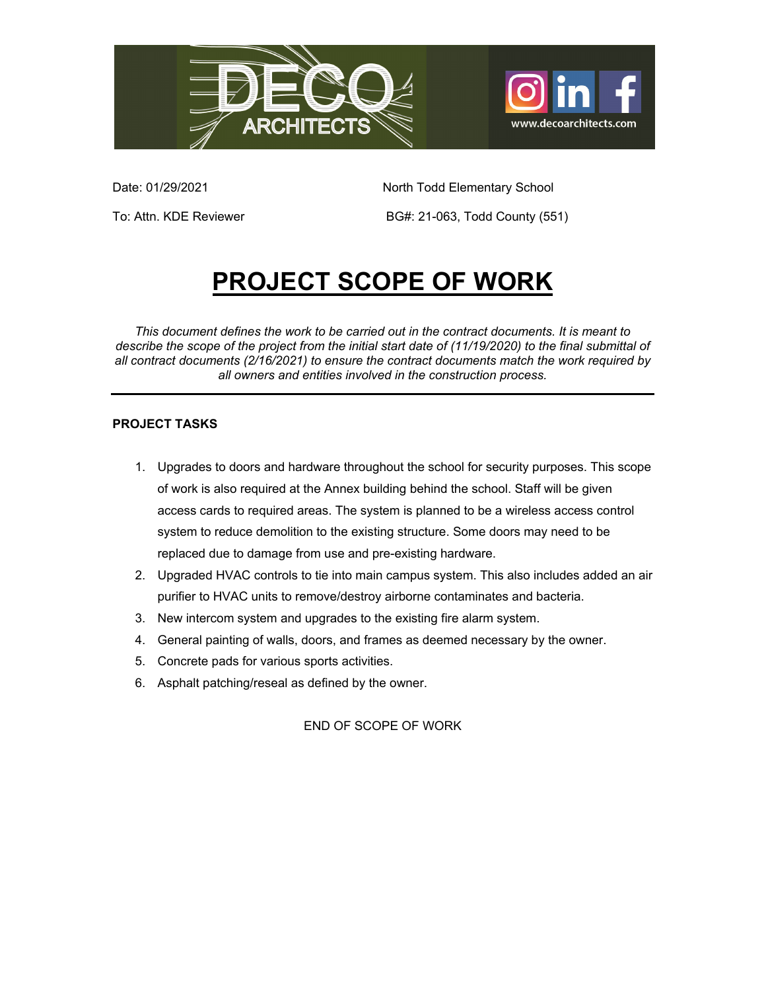



Date: 01/29/2021 **North Todd Elementary School** 

To: Attn. KDE Reviewer **BG#: 21-063, Todd County (551)** 

# **PROJECT SCOPE OF WORK**

*This document defines the work to be carried out in the contract documents. It is meant to describe the scope of the project from the initial start date of (11/19/2020) to the final submittal of all contract documents (2/16/2021) to ensure the contract documents match the work required by all owners and entities involved in the construction process.* 

### **PROJECT TASKS**

- 1. Upgrades to doors and hardware throughout the school for security purposes. This scope of work is also required at the Annex building behind the school. Staff will be given access cards to required areas. The system is planned to be a wireless access control system to reduce demolition to the existing structure. Some doors may need to be replaced due to damage from use and pre-existing hardware.
- 2. Upgraded HVAC controls to tie into main campus system. This also includes added an air purifier to HVAC units to remove/destroy airborne contaminates and bacteria.
- 3. New intercom system and upgrades to the existing fire alarm system.
- 4. General painting of walls, doors, and frames as deemed necessary by the owner.
- 5. Concrete pads for various sports activities.
- 6. Asphalt patching/reseal as defined by the owner.

END OF SCOPE OF WORK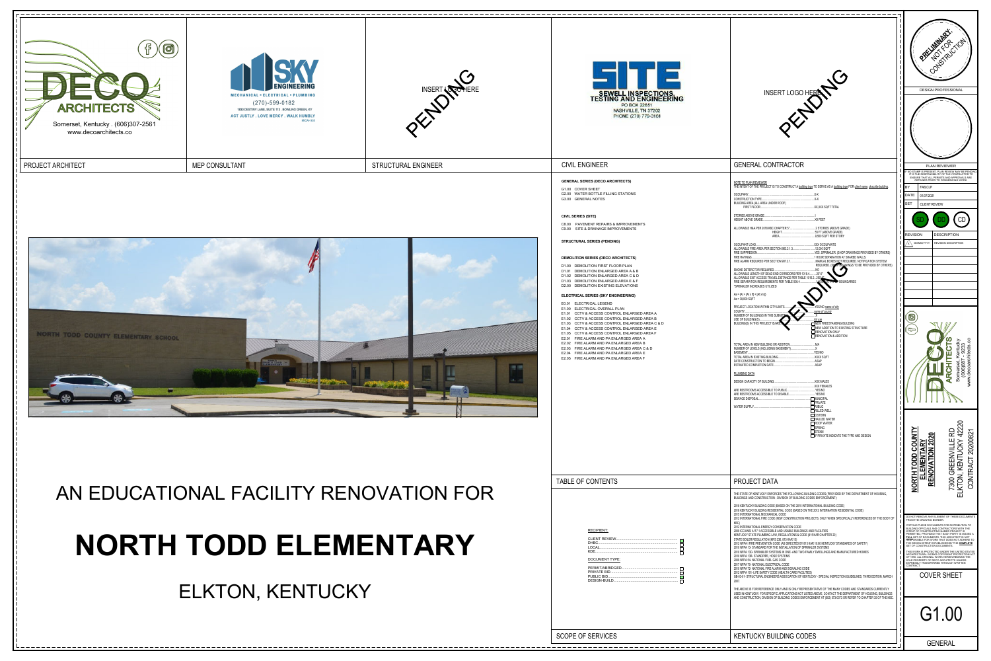





- G1.00 COVE
- G2.00 WATE
- G3.00 GENE

## **DEMOLITION**

- D1.00 DEMO
- D1.01 DEMO
- D1.02 DEMO
- D1.03 DEMO D2.00 DEMO

- $E0.01$  ELEC
- E1.00 ELEC
- $E1.01$  CCTV
- $E1.02$  CCTV
- $E1.03$  CCTV
- E1.04 CCTV
- $E1.05$  CCTV
- $E2.01$  FIRE  $E2.02$  FIRE
- E2.03 FIRE ALARM AND PA ENLARGED AREA C & D
- E2.04 FIRE ALARM AND PA ENLARGED AREA E
- $E2.05$  FIRE

## TABLE OF

|             | SEWELL INSPECTIONS.<br>TESTING AND ENGINEERING<br>PO BOX 22651<br>NASHVILLE, TN 37202<br>PHONE (270) 779-3161                                                                                                                                                                                                                                                                                                                                                                                                                                                                                                                                                                                                                                                                                                                                                                                                                                                                                                                                                                                                                                 | INSERT LOGO HERE                                                                                                                                                                                                                                                                                                                                                                                                                                                                                                                                                                                                                                                                                                                                                                                                                                                                                                                                                                                                                                                                                                                                                                                                                                                                                                                                                                                                                                                                                                                                                                                                                                                                                                                                                              | <b>DESIGN PROFESSIONAL</b>                                                                                                                                                                                                                                                                                                                                                                                                                                                                                                                                                                                                                                                                                                           |
|-------------|-----------------------------------------------------------------------------------------------------------------------------------------------------------------------------------------------------------------------------------------------------------------------------------------------------------------------------------------------------------------------------------------------------------------------------------------------------------------------------------------------------------------------------------------------------------------------------------------------------------------------------------------------------------------------------------------------------------------------------------------------------------------------------------------------------------------------------------------------------------------------------------------------------------------------------------------------------------------------------------------------------------------------------------------------------------------------------------------------------------------------------------------------|-------------------------------------------------------------------------------------------------------------------------------------------------------------------------------------------------------------------------------------------------------------------------------------------------------------------------------------------------------------------------------------------------------------------------------------------------------------------------------------------------------------------------------------------------------------------------------------------------------------------------------------------------------------------------------------------------------------------------------------------------------------------------------------------------------------------------------------------------------------------------------------------------------------------------------------------------------------------------------------------------------------------------------------------------------------------------------------------------------------------------------------------------------------------------------------------------------------------------------------------------------------------------------------------------------------------------------------------------------------------------------------------------------------------------------------------------------------------------------------------------------------------------------------------------------------------------------------------------------------------------------------------------------------------------------------------------------------------------------------------------------------------------------|--------------------------------------------------------------------------------------------------------------------------------------------------------------------------------------------------------------------------------------------------------------------------------------------------------------------------------------------------------------------------------------------------------------------------------------------------------------------------------------------------------------------------------------------------------------------------------------------------------------------------------------------------------------------------------------------------------------------------------------|
|             | <b>CIVIL ENGINEER</b><br><b>GENERAL SERIES (DECO ARCHITECTS)</b><br>G1.00 COVER SHEET<br>G2.00 WATER BOTTLE FILLING STATIONS<br>G3.00 GENERAL NOTES<br><b>CIVIL SERIES (SITE)</b><br>C8.00 PAVEMENT REPAIRS & IMPROVEMENTS<br>C9.00 SITE & DRAINAGE IMPROVEMENTS<br><b>STRUCTURAL SERIES (PENDING)</b><br><b>DEMOLITION SERIES (DECO ARCHITECTS)</b><br>D1.00 DEMOLITION FIRST FLOOR PLAN<br>D1.01 DEMOLITION ENLARGED AREA A & B<br>D1.02 DEMOLITION ENLARGED AREA C & D<br>D1.03 DEMOLITION ENLARGED AREA E & F<br>D2.00 DEMOLITION EXISTING ELEVATIONS<br><b>ELECTRICAL SERIES (SKY ENGINEERING)</b><br>E0.01 ELECTRICAL LEGEND<br>E1.00 ELECTRICAL OVERALL PLAN<br>E1.01 CCTV & ACCESS CONTROL ENLARGED AREA A<br>E1.02 CCTV & ACCESS CONTROL ENLARGED AREA B<br>E1.03 CCTV & ACCESS CONTROL ENLARGED AREA C & D<br>E1.04 CCTV & ACCESS CONTROL ENLARGED AREA E<br>E1.05 CCTV & ACCESS CONTROL ENLARGED AREA F<br>E2.01 FIRE ALARM AND PA ENLARGED AREA A<br>E2.02 FIRE ALARM AND PA ENLARGED AREA B<br>E2.03 FIRE ALARM AND PA ENLARGED AREA C & D<br>E2.04 FIRE ALARM AND PA ENLARGED AREA E<br>E2.05 FIRE ALARM AND PA ENLARGED AREA F | <b>GENERAL CONTRACTOR</b><br>NOTE TO PLAN REVIEWER<br>THE INTENT OF THE PROJECT IS TO CONSTRUCT A building type TO SERVE AS A building type FOR client name. describe building.<br>OCCUPANY<br>X-X<br><b>CONSTRUCTION TYPE</b><br>$X-X$<br>BUILDING AREA (ALL AREA UNDER ROOF)<br>XX, XXX SQFT TOTAL<br>FIRST FLOOR<br>STORIES ABOVE GRADE.<br>XX FEET<br>HEIGHT ABOVE GRADE.<br>ALLOWABLE H&A PER 2018 KBC CHAPTER 5*<br>2 STORIES (ABOVE GRADE)<br>55 FT (ABOVE GRADE)<br>HEIGHT<br>9,500 SQFT PER STORY<br>AREA<br>XXX OCCUPANTS<br>OCCUPANT LOAD<br>ALLOWABLE FIRE AREA PER SECTION 903.2.1.3<br>12,000 SQFT<br>FIRE SUPPRESION<br>YES. SPRINKLER. (SHOP DRAWINGS PROVIDED BY OTHERS)<br>FIRE RATINGS<br>.1 HOUR SEPARATION AT SHARED WALLS.<br>FIRE ALARM REQUIRED PER SECTION 907.2.1<br>MANUAL BOXES NOT REQUIRED. NOTIFICATION SYSTEM<br>REQUIRED. (Syop DRAWINGS TO BE PROVIDED BY OTHERS)<br>SMOKE DETERCTOR REQUIRED.<br>NO.<br>ALLOWABLE LENGTH OF DEAD END CORRIDORS PER 1018.4.<br>$20'$ -0"<br>ALLOWABLE EXIT ACCESS TRAVEL DISTANCE PER TABLE 1016.2250% AT FIT-OP BOUNDARIES<br>*SPRINKLER INCREASES UTILIZED<br>$Aa = {At + [At x If] + [At x Is]}$<br>Aa = 38,000 SQFT<br>PROJECT LOCATION WITHIN CITY LIMITS.<br>YES/NO name of city<br>COUNTY<br>name of county<br>NUMBER OF BUILDINGS IN THIS SUBMITT<br>USE OF BUILDING(S)<br>list use.<br><b>NEW FREESTANDING BUILDING</b><br>BUILDING(S) IN THIS PROJECT IS/ARE.<br>NEW ADDITION TO EXISTING STRUCTURE<br>RENOVATION ONLY<br>RENOVATION & ADDITION<br>TOTAL AREA IN NEW BUILDING OR ADDITION.<br>NUMBER OF LEVELS (INCLUDING BASEMENT).<br><b>BASEMENT</b><br>.YES/NO<br>TOTAL AREA IN EXISTING BUILDING.<br>XXXX SQFT<br>ASAP<br>DATE CONSTRUCTION TO BEGIN.<br>ESTIMATED COMPLETION DATE.<br>ASAP. | PLAN REVIEWER<br>ENSURE THAT ALL PERMITS AND APPROVALS ARE<br>OBTAINED PRIOR TO COMMENCING WORK.<br>BY<br>FAB,CLP<br>DATE 01/07/2021<br><b>SET</b><br>CLIENT REVIEW<br>CD<br><b>DESCRIPTION</b><br><b>REVISION</b><br>DD/MM/YYYY REVISION DESCRIPTION<br>$\circledcirc$<br>(පු<br>ntucky<br>9233<br>.ects.co<br>11 TO 11<br>這                                                                                                                                                                                                                                                                                                                                                                                                        |
| <b>NFOR</b> | TABLE OF CONTENTS                                                                                                                                                                                                                                                                                                                                                                                                                                                                                                                                                                                                                                                                                                                                                                                                                                                                                                                                                                                                                                                                                                                             | PLUMBING DATA<br>XXX MALES<br>DESIGN CAPACITY OF BUILDING.<br>XXX FEMALES<br>ARE RESTROOMS ACCESSIBLE TO PUBLIC.<br>.YES/NO<br>.YES/NO<br>ARE RESTROOMS ACCESSIBLE TO DISABLE.<br>SEWAGE DISPOSAL<br><b>__MUNICIPAL</b><br>PRIVATE<br>$\Box$ PUBLIC<br>WATER SUPPLY.<br>$\Box$ RILLED WELL<br>$\Box$ CISTERN<br>$\Box$ HAULED WATER<br>$\Box$ ROOF WATER<br>$\Box$ SPRING<br>$\Box$ STEAM<br>$\Box$ IF PRIVATE INDICATE THE TYPE AND DESIGN<br><b>PROJECT DATA</b><br>THE STATE OF KENTUCKY ENFORCES THE FOLLOWING BUILDING CODES (PROVIDED BY THE DEPARTMENT OF HOUSING,<br>BUILDINGS AND CONSTRUCTION - DIVISION OF BUILDING CODES ENFORCEMENT):<br>2018 KENTUCKY BUILDING CODE (BASED ON THE 2015 INTERNATIONAL BUILDING CODE)<br>2018 KENTUCKY BUILDING RESIDENTIAL CODE (BASED ON THE 2012 INTERNATION RESIDENTIAL CODE)<br>2015 INTERNATIONAL MECHANICAL CODE                                                                                                                                                                                                                                                                                                                                                                                                                                                                                                                                                                                                                                                                                                                                                                                                                                                                                                           | Somerset,<br>(606)68<br>ARC<br>မီ<br>220<br><u>R</u><br>20200821<br>Ņ<br>$\blacktriangleleft$<br><b>DO</b><br>) GREENVILLE  <br>N, KENTUCKY<br>S<br><u>ELEMENTAF</u><br>RENOVATION<br>ပ<br><u>TODD</u><br>CONTRACT<br><b>NORTH</b><br>7300 G<br>KTON,<br>靣                                                                                                                                                                                                                                                                                                                                                                                                                                                                           |
| KI          | <b>RECIPIENT:</b><br>DHBC<br><b>DOCUMENT TYPE:</b><br>PERMIT/ABRIDGED<br>PRIVATE BID<br>PUBLIC BID<br>DESIGN-BUILD                                                                                                                                                                                                                                                                                                                                                                                                                                                                                                                                                                                                                                                                                                                                                                                                                                                                                                                                                                                                                            | 2012 INTERNATIONAL FIRE CODE (NEW CONSTRUCTION PROJECTS, ONLY WHEN SPECIFICALLY REFERENCED BY THE BODY OF<br>KBC)<br>2012 INTERNATIONAL ENERGY CONSERVATION CODE<br>2009 ICC/ANSI A117.1 ACCESSIBLE AND USABLE BUILDINGS AND FACILITIES<br>KENTUCKY STATE PLUMBING LAW, REGULATIONS & CODE (815 KAR CHAPTER 20)<br>STATE BOILER REGULATION (KRS 236, 815 KAR 15)<br>2012 NFPA I FIRE PREVENTION CODE (AS DIRECTED BY 815 KAR 10:60 KENTUCKY STANDARDS OF SAFETY)<br>2010 NFPA 13- STANDARD FOR THE INSTALLATION OF SPRINKLER SYSTEMS<br>2010 NFPA 13D- SPRINKLER SYSTEMS IN ONE- AND TWO-FAMILY DWELLINGS AND MANUFACTURED HOMES<br>2010 NFPA 13R-STANDPIPE, HOSE SYSTEMS<br>2009 NFPA 54- NATIONAL FUEL GAS CODE<br>2017 NFPA 70- NATIONAL ELECTRICAL CODE<br>2010 NFPA 72- NATIONAL FIRE ALARM AND SIGNALING CODE<br>2012 NFPA 101- LIFE SAFETY CODE (HEALTH CARE FACILITIES)<br>GB-03-01- STRUCTURAL ENGINEERS ASSOCIATION OF KENTUCKY - SPECIAL INSPECTION GUIDELINES, THIRD EDITION, MARCH<br>2007.<br>THE ABOVE IS FOR REFERENCE ONLY AND IS ONLY REPRESENTATIVE OF THE MANY CODES AND STANDARDS CURRENTLY<br>USED IN KENTUCKY. FOR SPECIFIC APPLICATIONS NOT LISTED ABOVE, CONTACT THE DEPARTMENT OF HOUSING, BUILDINGS<br>AND CONSTRUCTION, DIVISION OF BUILDING CODES ENFORCEMENT AT (502) 573-0373 OR REFER TO CHAPTER 35 OF THE KBC.                                                                                                                                                                                                                                                                                                                                                                                                                               | DO NOT REMOVE ANY ELEMENT OF THESE DOCUMENTS FROM THE DRAWING BORDER.<br>COPYING THESE DOCUMENTS FOR DISTRIBUTION TO BUILDING OFFICIALS AND CONTRACTORS WITH THE<br>INTENT OF CONSTRUCTING NAMED PROJECT IS<br>PERMITTED, PROVIDED THAT EACH PARTY IS ISSUED A<br>FULL SET OF DOCUMENTS. THIS ARCHITECT IS NOT<br>RESPONSIBLE FOR WORK THAT DOES NOT ADHERE TO<br>THE DESIGN INTENT ESTABLISHED BY THE COMPLETE<br>SET OF CONSTRUCTION DOCUMENTS.<br>THIS WORK IS PROTECTED UNDER THE UNITED STATES<br>ARCHITECTURAL WORKS COPYRIGHT PROTECTION ACT<br>OF 1990. ALL ORIGINAL WORK HEREIN REMAINS THE<br>SOLE PROPERTY OF DECO ARCHITECTS UNLESS<br>EXPRESSLY TRANSFERRED THROUGH WRITTEN<br>CONTRACT.<br><b>COVER SHEET</b><br>G1.00 |
|             | <b>SCOPE OF SERVICES</b>                                                                                                                                                                                                                                                                                                                                                                                                                                                                                                                                                                                                                                                                                                                                                                                                                                                                                                                                                                                                                                                                                                                      | <b>KENTUCKY BUILDING CODES</b>                                                                                                                                                                                                                                                                                                                                                                                                                                                                                                                                                                                                                                                                                                                                                                                                                                                                                                                                                                                                                                                                                                                                                                                                                                                                                                                                                                                                                                                                                                                                                                                                                                                                                                                                                | <b>GENERAL</b>                                                                                                                                                                                                                                                                                                                                                                                                                                                                                                                                                                                                                                                                                                                       |

# AN EDUCATIONAL FACILITY RENOVATION FOR **NORTH TODD ELEMENTARY**  ELKTON, KENTUCKY

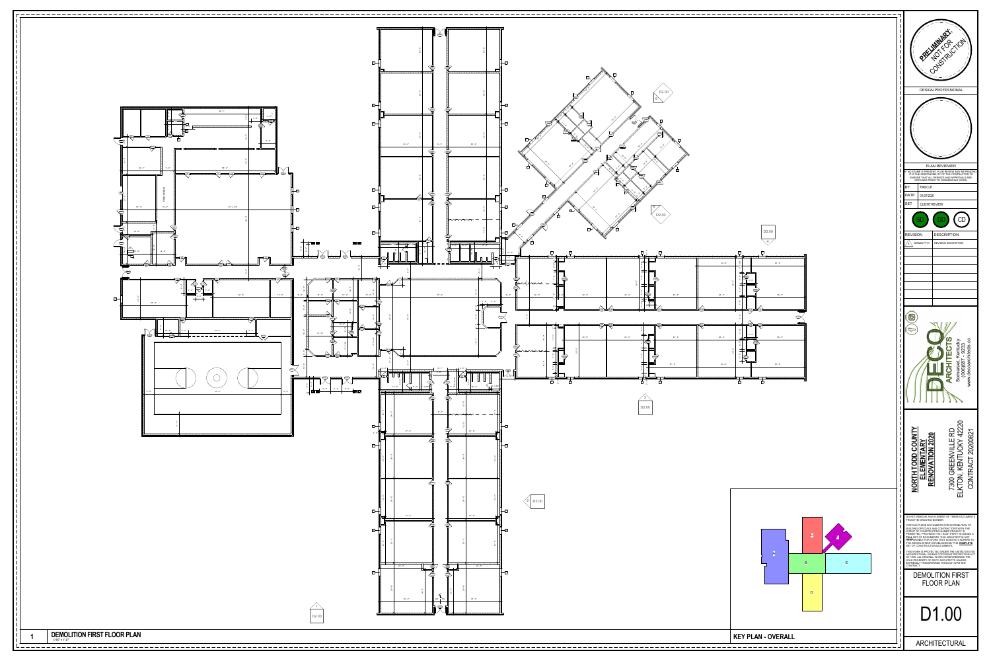

**DEMOLITION FIRST FLOOR PLAN** 

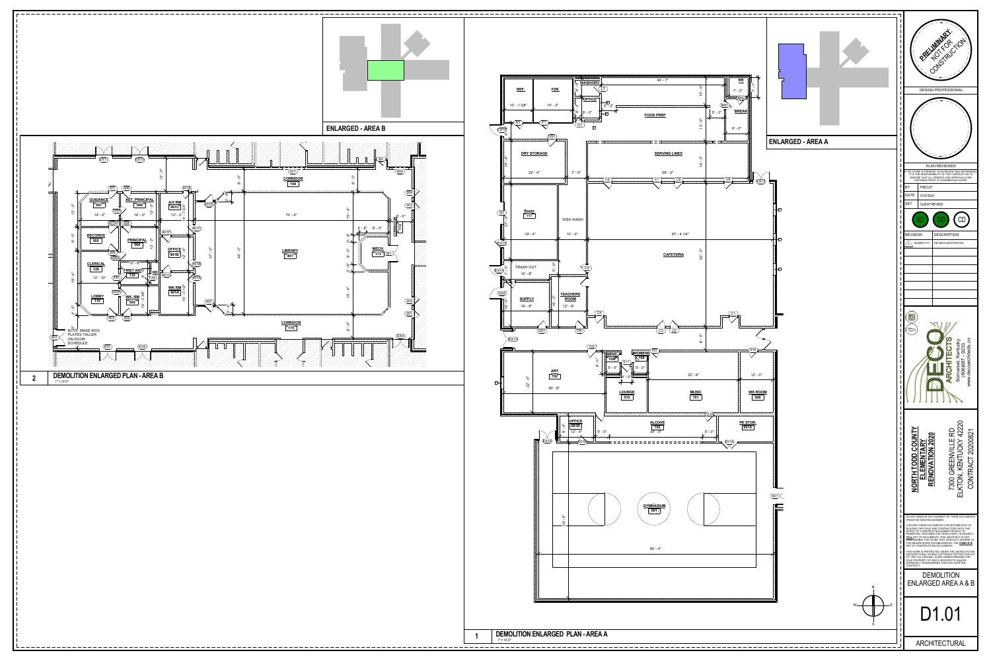

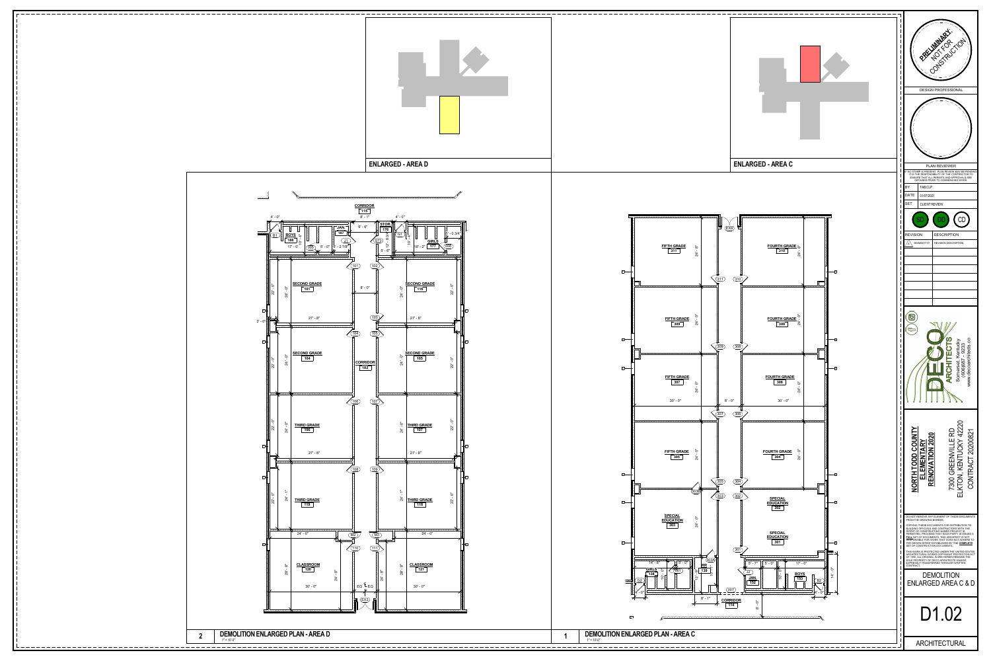